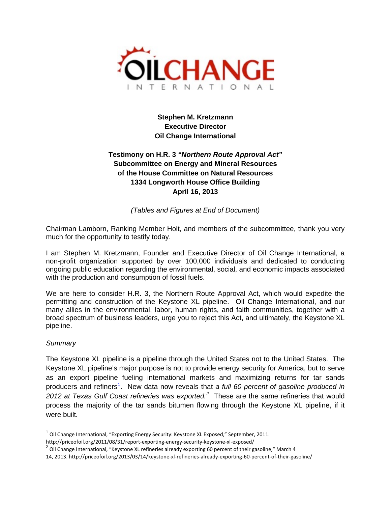

**Stephen M. Kretzmann Executive Director Oil Change International**

# **Testimony on H.R. 3** *"Northern Route Approval Act"* **Subcommittee on Energy and Mineral Resources of the House Committee on Natural Resources 1334 Longworth House Office Building April 16, 2013**

*(Tables and Figures at End of Document)*

Chairman Lamborn, Ranking Member Holt, and members of the subcommittee, thank you very much for the opportunity to testify today.

I am Stephen M. Kretzmann, Founder and Executive Director of Oil Change International, a non-profit organization supported by over 100,000 individuals and dedicated to conducting ongoing public education regarding the environmental, social, and economic impacts associated with the production and consumption of fossil fuels.

We are here to consider H.R. 3, the Northern Route Approval Act, which would expedite the permitting and construction of the Keystone XL pipeline. Oil Change International, and our many allies in the environmental, labor, human rights, and faith communities, together with a broad spectrum of business leaders, urge you to reject this Act, and ultimately, the Keystone XL pipeline.

### *Summary*

The Keystone XL pipeline is a pipeline through the United States not to the United States. The Keystone XL pipeline's major purpose is not to provide energy security for America, but to serve as an export pipeline fueling international markets and maximizing returns for tar sands producers and refiners<sup>[1](#page-0-0)</sup>. New data now reveals that a full 60 percent of gasoline produced in [2](#page-0-1)012 at Texas Gulf Coast refineries was exported.<sup>2</sup> These are the same refineries that would process the majority of the tar sands bitumen flowing through the Keystone XL pipeline, if it were built*.*

<span id="page-0-0"></span> $1$  Oil Change International, "Exporting Energy Security: Keystone XL Exposed," September, 2011.

<span id="page-0-1"></span>http://priceofoil.org/2011/08/31/report-exporting-energy-security-keystone-xl-exposed/<br><sup>2</sup> Oil Change International, "Keystone XL refineries already exporting 60 percent of their gasoline," March 4

<sup>14, 2013.</sup> http://priceofoil.org/2013/03/14/keystone-xl-refineries-already-exporting-60-percent-of-their-gasoline/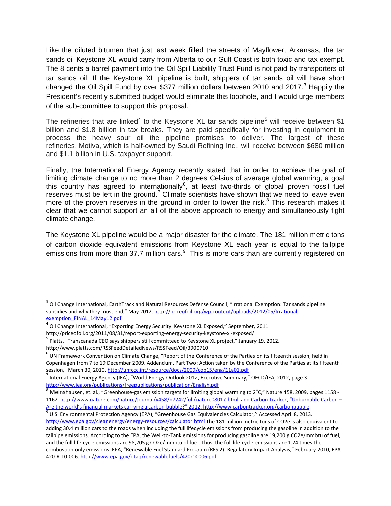Like the diluted bitumen that just last week filled the streets of Mayflower, Arkansas, the tar sands oil Keystone XL would carry from Alberta to our Gulf Coast is both toxic and tax exempt. The 8 cents a barrel payment into the Oil Spill Liability Trust Fund is not paid by transporters of tar sands oil. If the Keystone XL pipeline is built, shippers of tar sands oil will have short changed the Oil Spill Fund by over \$[3](#page-1-0)77 million dollars between 2010 and 2017. $3$  Happily the President's recently submitted budget would eliminate this loophole, and I would urge members of the sub-committee to support this proposal.

The refineries that are linked<sup>[4](#page-1-1)</sup> to the Keystone XL tar sands pipeline<sup>[5](#page-1-2)</sup> will receive between \$1 billion and \$1.8 billion in tax breaks. They are paid specifically for investing in equipment to process the heavy sour oil the pipeline promises to deliver. The largest of these refineries, Motiva, which is half-owned by Saudi Refining Inc., will receive between \$680 million and \$1.1 billion in U.S. taxpayer support.

Finally, the International Energy Agency recently stated that in order to achieve the goal of limiting climate change to no more than 2 degrees Celsius of average global warming, a goal this country has agreed to internationally<sup>[6](#page-1-3)</sup>, at least two-thirds of global proven fossil fuel reserves must be left in the ground.<sup>[7](#page-1-4)</sup> Climate scientists have shown that we need to leave even more of the proven reserves in the ground in order to lower the risk. $8$  This research makes it clear that we cannot support an all of the above approach to energy and simultaneously fight climate change.

The Keystone XL pipeline would be a major disaster for the climate. The 181 million metric tons of carbon dioxide equivalent emissions from Keystone XL each year is equal to the tailpipe emissions from more than 37.7 million cars.<sup>[9](#page-1-6)</sup> This is more cars than are currently registered on

<span id="page-1-0"></span> $3$  Oil Change International, EarthTrack and Natural Resources Defense Council, "Irrational Exemption: Tar sands pipeline subsidies and why they must end," May 2012. [http://priceofoil.org/wp-content/uploads/2012/05/Irrational](http://priceofoil.org/wp-content/uploads/2012/05/Irrational-exemption_FINAL_14May12.pdf)[exemption\\_FINAL\\_14May12.pdf](http://priceofoil.org/wp-content/uploads/2012/05/Irrational-exemption_FINAL_14May12.pdf)

<span id="page-1-1"></span> $^4$  Oil Change International, "Exporting Energy Security: Keystone XL Exposed," September, 2011.

<span id="page-1-2"></span>http://priceofoil.org/2011/08/31/report-exporting-energy-security-keystone-xl-exposed/<br><sup>5</sup> Platts, "Transcanada CEO says shippers still committeed to Keystone XL project," January 19, 2012.

http://www.platts.com/RSSFeedDetailedNews/RSSFeed/Oil/3900710

<span id="page-1-3"></span> $6$  UN Framework Convention on Climate Change, "Report of the Conference of the Parties on its fifteenth session, held in Copenhagen from 7 to 19 December 2009. Addendum, Part Two: Action taken by the Conference of the Parties at its fifteenth<br>session," March 30, 2010. http://unfccc.int/resource/docs/2009/cop15/eng/11a01.pdf

<span id="page-1-4"></span><sup>&</sup>lt;sup>7</sup> International Energy Agency (IEA), "World Energy Outlook 2012, Executive Summary," OECD/IEA, 2012, page 3. <http://www.iea.org/publications/freepublications/publication/English.pdf>

<span id="page-1-5"></span> $^8$  Meinshausen, et. al., "Greenhouse-gas emission targets for limiting global warming to 2°C," Nature 458, 2009, pages 1158 -1162[. http://www.nature.com/nature/journal/v458/n7242/full/nature08017.html](http://www.nature.com/nature/journal/v458/n7242/full/nature08017.html) and Carbon Tracker, "Unburnable Carbon – Are the world's financial markets carrying a carbon bubble?" 2012. http://www.carbontracker.org/carbonbubble 9 U.S. Environmental Protection Agency (EPA), "Greenhouse Gas Equivalencies Calculator," Accessed April 8, 2013.

<span id="page-1-6"></span><http://www.epa.gov/cleanenergy/energy-resources/calculator.html> The 181 million metric tons of CO2e is also equivalent to adding 30.4 million cars to the roads when including the full lifecycle emissions from producing the gasoline in addition to the tailpipe emissions. According to the EPA, the Well-to-Tank emissions for producing gasoline are 19,200 g CO2e/mmbtu of fuel, and the full life-cycle emissions are 98,205 g CO2e/mmbtu of fuel. Thus, the full life-cycle emissions are 1.24 times the combustion only emissions. EPA, "Renewable Fuel Standard Program (RFS 2): Regulatory Impact Analysis," February 2010, EPA-420-R-10-006. http://www.epa.gov/otaq/renewablefuels/420r10006.pdf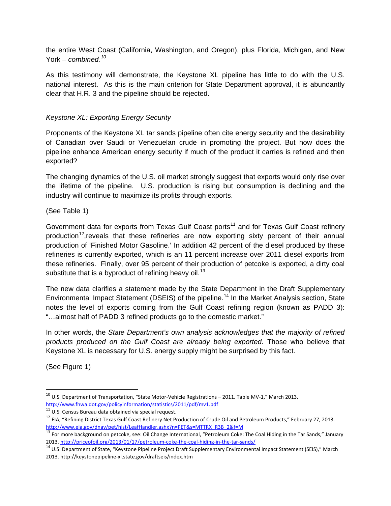the entire West Coast (California, Washington, and Oregon), plus Florida, Michigan, and New York – *combined.[10](#page-2-0)*

As this testimony will demonstrate, the Keystone XL pipeline has little to do with the U.S. national interest. As this is the main criterion for State Department approval, it is abundantly clear that H.R. 3 and the pipeline should be rejected.

## *Keystone XL: Exporting Energy Security*

Proponents of the Keystone XL tar sands pipeline often cite energy security and the desirability of Canadian over Saudi or Venezuelan crude in promoting the project. But how does the pipeline enhance American energy security if much of the product it carries is refined and then exported?

The changing dynamics of the U.S. oil market strongly suggest that exports would only rise over the lifetime of the pipeline. U.S. production is rising but consumption is declining and the industry will continue to maximize its profits through exports.

(See Table 1)

Government data for exports from Texas Gulf Coast ports<sup>[11](#page-2-1)</sup> and for Texas Gulf Coast refinery production<sup>12</sup>, reveals that these refineries are now exporting sixty percent of their annual production of 'Finished Motor Gasoline.' In addition 42 percent of the diesel produced by these refineries is currently exported, which is an 11 percent increase over 2011 diesel exports from these refineries. Finally, over 95 percent of their production of petcoke is exported, a dirty coal substitute that is a byproduct of refining heavy oil.<sup>[13](#page-2-3)</sup>

The new data clarifies a statement made by the State Department in the Draft Supplementary Environmental Impact Statement (DSEIS) of the pipeline.<sup>[14](#page-2-4)</sup> In the Market Analysis section, State notes the level of exports coming from the Gulf Coast refining region (known as PADD 3): "…almost half of PADD 3 refined products go to the domestic market."

In other words, the *State Department's own analysis acknowledges that the majority of refined products produced on the Gulf Coast are already being exported*. Those who believe that Keystone XL is necessary for U.S. energy supply might be surprised by this fact.

(See Figure 1)

<span id="page-2-0"></span> $^{10}$  U.S. Department of Transportation, "State Motor-Vehicle Registrations – 2011. Table MV-1," March 2013. <http://www.fhwa.dot.gov/policyinformation/statistics/2011/pdf/mv1.pdf>

<span id="page-2-1"></span> $11$  U.S. Census Bureau data obtained via special request.

<span id="page-2-2"></span><sup>&</sup>lt;sup>12</sup> EIA, "Refining District Texas Gulf Coast Refinery Net Production of Crude Oil and Petroleum Products," February 27, 2013. [http://www.eia.gov/dnav/pet/hist/LeafHandler.ashx?n=PET&s=MTTRX\\_R3B\\_2&f=M](http://www.eia.gov/dnav/pet/hist/LeafHandler.ashx?n=PET&s=MTTRX_R3B_2&f=M)

<span id="page-2-3"></span><sup>&</sup>lt;sup>13</sup> For more background on petcoke, see: Oil Change International, "Petroleum Coke: The Coal Hiding in the Tar Sands," January 2013[. http://priceofoil.org/2013/01/17/petroleum-coke-the-coal-hiding-in-the-tar-sands/](http://priceofoil.org/2013/01/17/petroleum-coke-the-coal-hiding-in-the-tar-sands/)<br><sup>14</sup> U.S. Department of State, "Keystone Pipeline Project Draft Supplementary Environmental Impact Statement (SEIS)," March

<span id="page-2-4"></span><sup>2013.</sup> http://keystonepipeline-xl.state.gov/draftseis/index.htm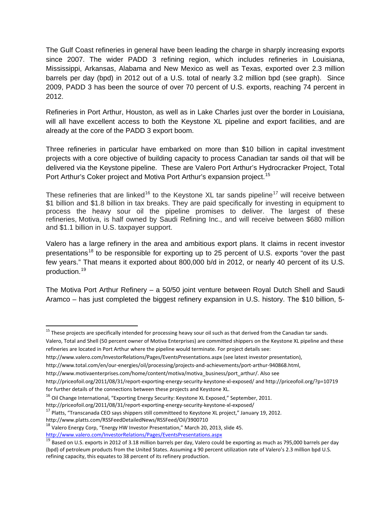The Gulf Coast refineries in general have been leading the charge in sharply increasing exports since 2007. The wider PADD 3 refining region, which includes refineries in Louisiana, Mississippi, Arkansas, Alabama and New Mexico as well as Texas, exported over 2.3 million barrels per day (bpd) in 2012 out of a U.S. total of nearly 3.2 million bpd (see graph). Since 2009, PADD 3 has been the source of over 70 percent of U.S. exports, reaching 74 percent in 2012.

Refineries in Port Arthur, Houston, as well as in Lake Charles just over the border in Louisiana, will all have excellent access to both the Keystone XL pipeline and export facilities, and are already at the core of the PADD 3 export boom.

Three refineries in particular have embarked on more than \$10 billion in capital investment projects with a core objective of building capacity to process Canadian tar sands oil that will be delivered via the Keystone pipeline. These are Valero Port Arthur's Hydrocracker Project, Total Port Arthur's Coker project and Motiva Port Arthur's expansion project.<sup>[15](#page-3-0)</sup>

These refineries that are linked<sup>[16](#page-3-1)</sup> to the Keystone XL tar sands pipeline<sup>[17](#page-3-2)</sup> will receive between \$1 billion and \$1.8 billion in tax breaks. They are paid specifically for investing in equipment to process the heavy sour oil the pipeline promises to deliver. The largest of these refineries, Motiva, is half owned by Saudi Refining Inc., and will receive between \$680 million and \$1.1 billion in U.S. taxpayer support.

Valero has a large refinery in the area and ambitious export plans. It claims in recent investor presentations<sup>[18](#page-3-3)</sup> to be responsible for exporting up to 25 percent of U.S. exports "over the past few years." That means it exported about 800,000 b/d in 2012, or nearly 40 percent of its U.S. production.[19](#page-3-4)

The Motiva Port Arthur Refinery – a 50/50 joint venture between Royal Dutch Shell and Saudi Aramco – has just completed the biggest refinery expansion in U.S. history. The \$10 billion, 5-

- <http://www.valero.com/InvestorRelations/Pages/EventsPresentations.aspx> (see latest investor presentation),
- [http://www.total.com/en/our-energies/oil/processing/projects-and-achievements/port-arthur-940868.html,](http://www.total.com/en/our-energies/oil/processing/projects-and-achievements/port-arthur-940868.html)

http://www.platts.com/RSSFeedDetailedNews/RSSFeed/Oil/3900710

<http://www.valero.com/InvestorRelations/Pages/EventsPresentations.aspx>

<span id="page-3-0"></span><sup>&</sup>lt;sup>15</sup> These projects are specifically intended for processing heavy sour oil such as that derived from the Canadian tar sands.

Valero, Total and Shell (50 percent owner of Motiva Enterprises) are committed shippers on the Keystone XL pipeline and these refineries are located in Port Arthur where the pipeline would terminate. For project details see:

[http://www.motivaenterprises.com/home/content/motiva/motiva\\_business/port\\_arthur/.](http://www.motivaenterprises.com/home/content/motiva/motiva_business/port_arthur/) Also see

<http://priceofoil.org/2011/08/31/report-exporting-energy-security-keystone-xl-exposed/> and<http://priceofoil.org/?p=10719> for further details of the connections between these projects and Keystone XL.

<span id="page-3-1"></span><sup>&</sup>lt;sup>16</sup> Oil Change International, "Exporting Energy Security: Keystone XL Exposed," September, 2011.

http://priceofoil.org/2011/08/31/report-exporting-energy-security-keystone-xl-exposed/<br><sup>17</sup> Platts, "Transcanada CEO says shippers still committeed to Keystone XL project," January 19, 2012.

<span id="page-3-2"></span>

<span id="page-3-3"></span> $^{18}$  Valero Energy Corp, "Energy HW Investor Presentation," March 20, 2013, slide 45.

<span id="page-3-4"></span> $^{19}$  Based on U.S. exports in 2012 of 3.18 million barrels per day, Valero could be exporting as much as 795,000 barrels per day (bpd) of petroleum products from the United States. Assuming a 90 percent utilization rate of Valero's 2.3 million bpd U.S. refining capacity, this equates to 38 percent of its refinery production.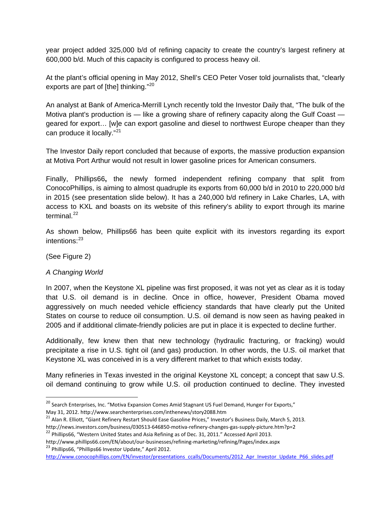year project added 325,000 b/d of refining capacity to create the country's largest refinery at 600,000 b/d. Much of this capacity is configured to process heavy oil.

At the plant's official opening in May 2012, Shell's CEO Peter Voser told journalists that, "clearly exports are part of [the] thinking."<sup>[20](#page-4-0)</sup>

An analyst at Bank of America-Merrill Lynch recently told the Investor Daily that, "The bulk of the Motiva plant's production is — like a growing share of refinery capacity along the Gulf Coast geared for export… [w]e can export gasoline and diesel to northwest Europe cheaper than they can produce it locally."<sup>[21](#page-4-1)</sup>

The Investor Daily report concluded that because of exports, the massive production expansion at Motiva Port Arthur would not result in lower gasoline prices for American consumers.

Finally, Phillips66**,** the newly formed independent refining company that split from ConocoPhillips, is aiming to almost quadruple its exports from 60,000 b/d in 2010 to 220,000 b/d in 2015 (see presentation slide below). It has a 240,000 b/d refinery in Lake Charles, LA, with access to KXL and boasts on its website of this refinery's ability to export through its marine terminal. $^{22}$  $^{22}$  $^{22}$ 

As shown below, Phillips66 has been quite explicit with its investors regarding its export intentions: [23](#page-4-3)

(See Figure 2)

## *A Changing World*

In 2007, when the Keystone XL pipeline was first proposed, it was not yet as clear as it is today that U.S. oil demand is in decline. Once in office, however, President Obama moved aggressively on much needed vehicle efficiency standards that have clearly put the United States on course to reduce oil consumption. U.S. oil demand is now seen as having peaked in 2005 and if additional climate-friendly policies are put in place it is expected to decline further.

Additionally, few knew then that new technology (hydraulic fracturing, or fracking) would precipitate a rise in U.S. tight oil (and gas) production. In other words, the U.S. oil market that Keystone XL was conceived in is a very different market to that which exists today.

Many refineries in Texas invested in the original Keystone XL concept; a concept that saw U.S. oil demand continuing to grow while U.S. oil production continued to decline. They invested

<span id="page-4-3"></span>http://www.phillips66.com/EN/about/our-businesses/refining-marketing/refining/Pages/index.aspx <sup>23</sup> Phillips66, "Phillips66 Investor Update," April 2012. [http://www.conocophillips.com/EN/investor/presentations\\_ccalls/Documents/2012\\_Apr\\_Investor\\_Update\\_P66\\_slides.pdf](http://www.conocophillips.com/EN/investor/presentations_ccalls/Documents/2012_Apr_Investor_Update_P66_slides.pdf)

<span id="page-4-0"></span><sup>&</sup>lt;sup>20</sup> Search Enterprises, Inc. "Motiva Expansion Comes Amid Stagnant US Fuel Demand, Hunger For Exports," May 31, 2012. http://www.searchenterprises.com/inthenews/story2088.htm

<span id="page-4-1"></span><sup>&</sup>lt;sup>21</sup> Alan R. Elliott, "Giant Refinery Restart Should Ease Gasoline Prices," Investor's Business Daily, March 5, 2013.<br>http://news.investors.com/business/030513-646850-motiva-refinery-changes-gas-supply-picture.htm?p=2

<span id="page-4-2"></span><sup>&</sup>lt;sup>22</sup> Phillips66, "Western United States and Asia Refining as of Dec. 31, 2011." Accessed April 2013.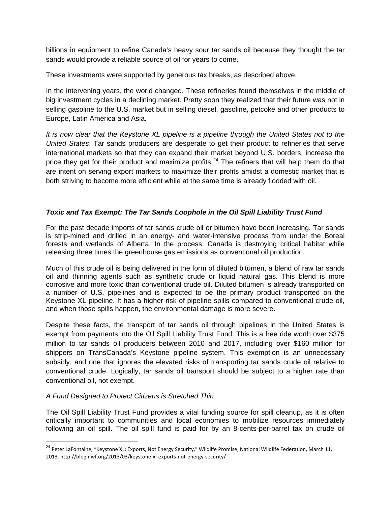billions in equipment to refine Canada's heavy sour tar sands oil because they thought the tar sands would provide a reliable source of oil for years to come.

These investments were supported by generous tax breaks, as described above.

In the intervening years, the world changed. These refineries found themselves in the middle of big investment cycles in a declining market. Pretty soon they realized that their future was not in selling gasoline to the U.S. market but in selling diesel, gasoline, petcoke and other products to Europe, Latin America and Asia.

*It is now clear that the Keystone XL pipeline is a pipeline through the United States not to the United States*. Tar sands producers are desperate to get their product to refineries that serve international markets so that they can expand their market beyond U.S. borders, increase the price they get for their product and maximize profits.<sup>[24](#page-5-0)</sup> The refiners that will help them do that are intent on serving export markets to maximize their profits amidst a domestic market that is both striving to become more efficient while at the same time is already flooded with oil.

## *Toxic and Tax Exempt: The Tar Sands Loophole in the Oil Spill Liability Trust Fund*

For the past decade imports of tar sands crude oil or bitumen have been increasing. Tar sands is strip-mined and drilled in an energy- and water-intensive process from under the Boreal forests and wetlands of Alberta. In the process, Canada is destroying critical habitat while releasing three times the greenhouse gas emissions as conventional oil production.

Much of this crude oil is being delivered in the form of diluted bitumen, a blend of raw tar sands oil and thinning agents such as synthetic crude or liquid natural gas. This blend is more corrosive and more toxic than conventional crude oil. Diluted bitumen is already transported on a number of U.S. pipelines and is expected to be the primary product transported on the Keystone XL pipeline. It has a higher risk of pipeline spills compared to conventional crude oil, and when those spills happen, the environmental damage is more severe.

Despite these facts, the transport of tar sands oil through pipelines in the United States is exempt from payments into the Oil Spill Liability Trust Fund. This is a free ride worth over \$375 million to tar sands oil producers between 2010 and 2017, including over \$160 million for shippers on TransCanada's Keystone pipeline system. This exemption is an unnecessary subsidy, and one that ignores the elevated risks of transporting tar sands crude oil relative to conventional crude. Logically, tar sands oil transport should be subject to a higher rate than conventional oil, not exempt.

## *A Fund Designed to Protect Citizens is Stretched Thin*

The Oil Spill Liability Trust Fund provides a vital funding source for spill cleanup, as it is often critically important to communities and local economies to mobilize resources immediately following an oil spill. The oil spill fund is paid for by an 8-cents-per-barrel tax on crude oil

<span id="page-5-0"></span><sup>&</sup>lt;sup>24</sup> Peter LaFontaine, "Keystone XL: Exports, Not Energy Security," Wildlife Promise, National Wildlife Federation, March 11, 2013. http://blog.nwf.org/2013/03/keystone-xl-exports-not-energy-security/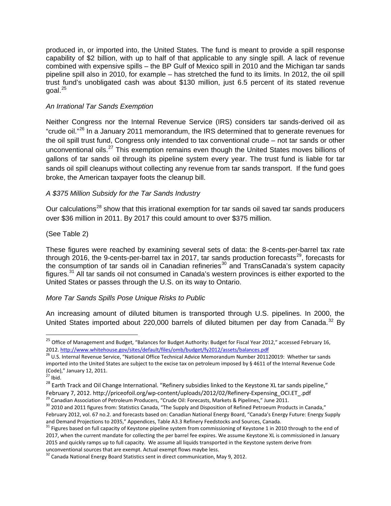produced in, or imported into, the United States. The fund is meant to provide a spill response capability of \$2 billion, with up to half of that applicable to any single spill. A lack of revenue combined with expensive spills – the BP Gulf of Mexico spill in 2010 and the Michigan tar sands pipeline spill also in 2010, for example – has stretched the fund to its limits. In 2012, the oil spill trust fund's unobligated cash was about \$130 million, just 6.5 percent of its stated revenue  $q$ oal. $^{25}$  $^{25}$  $^{25}$ 

### *An Irrational Tar Sands Exemption*

Neither Congress nor the Internal Revenue Service (IRS) considers tar sands-derived oil as "crude oil."[26](#page-6-1) In a January 2011 memorandum, the IRS determined that to generate revenues for the oil spill trust fund, Congress only intended to tax conventional crude – not tar sands or other unconventional oils.<sup>[27](#page-6-2)</sup> This exemption remains even though the United States moves billions of gallons of tar sands oil through its pipeline system every year. The trust fund is liable for tar sands oil spill cleanups without collecting any revenue from tar sands transport. If the fund goes broke, the American taxpayer foots the cleanup bill.

### *A \$375 Million Subsidy for the Tar Sands Industry*

Our calculations<sup>[28](#page-6-3)</sup> show that this irrational exemption for tar sands oil saved tar sands producers over \$36 million in 2011. By 2017 this could amount to over \$375 million.

#### (See Table 2)

These figures were reached by examining several sets of data: the 8-cents-per-barrel tax rate through 2016, the 9-cents-per-barrel tax in 2017, tar sands production forecasts<sup>[29](#page-6-4)</sup>, forecasts for the consumption of tar sands oil in Canadian refineries<sup>[30](#page-6-5)</sup> and TransCanada's system capacity figures.[31](#page-6-6) All tar sands oil not consumed in Canada's western provinces is either exported to the United States or passes through the U.S. on its way to Ontario.

#### *More Tar Sands Spills Pose Unique Risks to Public*

An increasing amount of diluted bitumen is transported through U.S. pipelines. In 2000, the United States imported about 220,000 barrels of diluted bitumen per day from Canada.<sup>[32](#page-6-7)</sup> Bv

<span id="page-6-0"></span><sup>&</sup>lt;sup>25</sup> Office of Management and Budget, "Balances for Budget Authority: Budget for Fiscal Year 2012," accessed February 16,<br>2012. http://www.whitehouse.gov/sites/default/files/omb/budget/fy2012/assets/balances.pdf

<span id="page-6-1"></span><sup>&</sup>lt;sup>26</sup> U.S. Internal Revenue Service, "National Office Technical Advice Memorandum Number 201120019: Whether tar sands imported into the United States are subject to the excise tax on petroleum imposed by § 4611 of the Internal Revenue Code (Code)," January 12, 2011.<br><sup>27</sup> Ibid.<br><sup>28</sup> Earth Track and Oil Change International. "Refinery subsidies linked to the Keystone XL tar sands pipeline,"

<span id="page-6-3"></span><span id="page-6-2"></span>February 7, 2012. http://priceofoil.org/wp-content/uploads/2012/02/Refinery-Expensing\_OCI.ET\_.pdf<br><sup>29</sup> Canadian Association of Petroleum Producers, "Crude Oil: Forecasts, Markets & Pipelines," June 2011.<br><sup>30</sup> 2010 and 2011

<span id="page-6-4"></span>

<span id="page-6-5"></span>February 2012, vol. 67 no.2. and forecasts based on: Canadian National Energy Board, "Canada's Energy Future: Energy Supply

<span id="page-6-6"></span>and Demand Projections to 2035," Appendices, Table A3.3 Refinery Feedstocks and Sources, Canada.<br><sup>31</sup> Figures based on full capacity of Keystone pipeline system from commissioning of Keystone 1 in 2010 through to the end 2017, when the current mandate for collecting the per barrel fee expires. We assume Keystone XL is commissioned in January 2015 and quickly ramps up to full capacity. We assume all liquids transported in the Keystone system derive from unconventional sources that are exempt. Actual exempt flows maybe less.

<span id="page-6-7"></span> $32$  Canada National Energy Board Statistics sent in direct communication, May 9, 2012.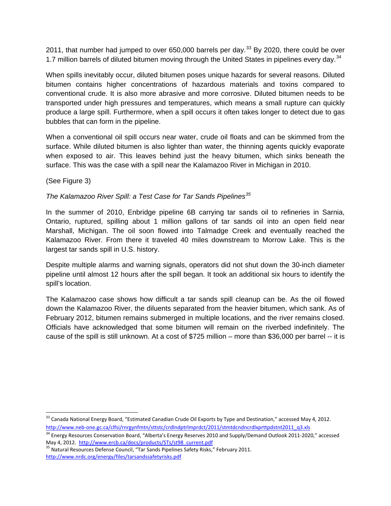2011, that number had jumped to over 650,000 barrels per day.<sup>[33](#page-7-0)</sup> By 2020, there could be over 1.7 million barrels of diluted bitumen moving through the United States in pipelines every day.<sup>[34](#page-7-1)</sup>

When spills inevitably occur, diluted bitumen poses unique hazards for several reasons. Diluted bitumen contains higher concentrations of hazardous materials and toxins compared to conventional crude. It is also more abrasive and more corrosive. Diluted bitumen needs to be transported under high pressures and temperatures, which means a small rupture can quickly produce a large spill. Furthermore, when a spill occurs it often takes longer to detect due to gas bubbles that can form in the pipeline.

When a conventional oil spill occurs near water, crude oil floats and can be skimmed from the surface. While diluted bitumen is also lighter than water, the thinning agents quickly evaporate when exposed to air. This leaves behind just the heavy bitumen, which sinks beneath the surface. This was the case with a spill near the Kalamazoo River in Michigan in 2010.

(See Figure 3)

## *The Kalamazoo River Spill: a Test Case for Tar Sands Pipelines[35](#page-7-2)*

In the summer of 2010, Enbridge pipeline 6B carrying tar sands oil to refineries in Sarnia, Ontario, ruptured, spilling about 1 million gallons of tar sands oil into an open field near Marshall, Michigan. The oil soon flowed into Talmadge Creek and eventually reached the Kalamazoo River. From there it traveled 40 miles downstream to Morrow Lake. This is the largest tar sands spill in U.S. history.

Despite multiple alarms and warning signals, operators did not shut down the 30-inch diameter pipeline until almost 12 hours after the spill began. It took an additional six hours to identify the spill's location.

The Kalamazoo case shows how difficult a tar sands spill cleanup can be. As the oil flowed down the Kalamazoo River, the diluents separated from the heavier bitumen, which sank. As of February 2012, bitumen remains submerged in multiple locations, and the river remains closed. Officials have acknowledged that some bitumen will remain on the riverbed indefinitely. The cause of the spill is still unknown. At a cost of \$725 million – more than \$36,000 per barrel -- it is

<span id="page-7-0"></span> $33$  Canada National Energy Board, "Estimated Canadian Crude Oil Exports by Type and Destination," accessed May 4, 2012. [http://www.neb-one.gc.ca/clfsi/rnrgynfmtn/sttstc/crdlndptrlmprdct/2011/stmtdcndncrdlxprttpdstnt2011\\_q3.xls](http://www.neb-one.gc.ca/clfsi/rnrgynfmtn/sttstc/crdlndptrlmprdct/2011/stmtdcndncrdlxprttpdstnt2011_q3.xls)

<span id="page-7-1"></span><sup>&</sup>lt;sup>34</sup> Energy Resources Conservation Board, "Alberta's Energy Reserves 2010 and Supply/Demand Outlook 2011-2020," accessed<br>May 4, 2012. http://www.ercb.ca/docs/products/STs/st98 current.pdf

<span id="page-7-2"></span><sup>&</sup>lt;sup>35</sup> Natural Resources Defense Council, "Tar Sands Pipelines Safety Risks," February 2011. <http://www.nrdc.org/energy/files/tarsandssafetyrisks.pdf>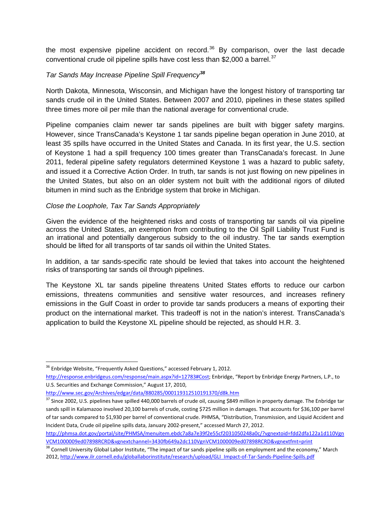the most expensive pipeline accident on record.<sup>[36](#page-8-0)</sup> By comparison, over the last decade conventional crude oil pipeline spills have cost less than \$2,000 a barrel.<sup>[37](#page-8-1)</sup>

### *Tar Sands May Increase Pipeline Spill Frequency[38](#page-8-2)*

North Dakota, Minnesota, Wisconsin, and Michigan have the longest history of transporting tar sands crude oil in the United States. Between 2007 and 2010, pipelines in these states spilled three times more oil per mile than the national average for conventional crude.

Pipeline companies claim newer tar sands pipelines are built with bigger safety margins. However, since TransCanada's Keystone 1 tar sands pipeline began operation in June 2010, at least 35 spills have occurred in the United States and Canada. In its first year, the U.S. section of Keystone 1 had a spill frequency 100 times greater than TransCanada's forecast. In June 2011, federal pipeline safety regulators determined Keystone 1 was a hazard to public safety, and issued it a Corrective Action Order. In truth, tar sands is not just flowing on new pipelines in the United States, but also on an older system not built with the additional rigors of diluted bitumen in mind such as the Enbridge system that broke in Michigan.

#### *Close the Loophole, Tax Tar Sands Appropriately*

Given the evidence of the heightened risks and costs of transporting tar sands oil via pipeline across the United States, an exemption from contributing to the Oil Spill Liability Trust Fund is an irrational and potentially dangerous subsidy to the oil industry. The tar sands exemption should be lifted for all transports of tar sands oil within the United States.

In addition, a tar sands-specific rate should be levied that takes into account the heightened risks of transporting tar sands oil through pipelines.

The Keystone XL tar sands pipeline threatens United States efforts to reduce our carbon emissions, threatens communities and sensitive water resources, and increases refinery emissions in the Gulf Coast in order to provide tar sands producers a means of exporting their product on the international market. This tradeoff is not in the nation's interest. TransCanada's application to build the Keystone XL pipeline should be rejected, as should H.R. 3.

<span id="page-8-0"></span> $36$  Enbridge Website, "Frequently Asked Questions," accessed February 1, 2012.

[http://response.enbridgeus.com/response/main.aspx?id=12783#Cost;](http://response.enbridgeus.com/response/main.aspx?id=12783##Cost) Enbridge, "Report by Enbridge Energy Partners, L.P., to U.S. Securities and Exchange Commission," August 17, 2010,

<http://www.sec.gov/Archives/edgar/data/880285/000119312510191370/d8k.htm>

<span id="page-8-1"></span><sup>&</sup>lt;sup>37</sup> Since 2002, U.S. pipelines have spilled 440,000 barrels of crude oil, causing \$849 million in property damage. The Enbridge tar sands spill in Kalamazoo involved 20,100 barrels of crude, costing \$725 million in damages. That accounts for \$36,100 per barrel of tar sands compared to \$1,930 per barrel of conventional crude. PHMSA, "Distribution, Transmission, and Liquid Accident and Incident Data, Crude oil pipeline spills data, January 2002-present," accessed March 27, 2012.

[http://phmsa.dot.gov/portal/site/PHMSA/menuitem.ebdc7a8a7e39f2e55cf2031050248a0c/?vgnextoid=fdd2dfa122a1d110Vgn](http://phmsa.dot.gov/portal/site/PHMSA/menuitem.ebdc7a8a7e39f2e55cf2031050248a0c/?vgnextoid=fdd2dfa122a1d110VgnVCM1000009ed07898RCRD&vgnextchannel=3430fb649a2dc110VgnVCM1000009ed07898RCRD&vgnextfmt=print) [VCM1000009ed07898RCRD&vgnextchannel=3430fb649a2dc110VgnVCM1000009ed07898RCRD&vgnextfmt=print](http://phmsa.dot.gov/portal/site/PHMSA/menuitem.ebdc7a8a7e39f2e55cf2031050248a0c/?vgnextoid=fdd2dfa122a1d110VgnVCM1000009ed07898RCRD&vgnextchannel=3430fb649a2dc110VgnVCM1000009ed07898RCRD&vgnextfmt=print)

<span id="page-8-2"></span><sup>&</sup>lt;sup>38</sup> Cornell University Global Labor Institute, "The impact of tar sands pipeline spills on employment and the economy," March 2012[, http://www.ilr.cornell.edu/globallaborinstitute/research/upload/GLI\\_Impact-of-Tar-Sands-Pipeline-Spills.pdf](http://www.ilr.cornell.edu/globallaborinstitute/research/upload/GLI_Impact-of-Tar-Sands-Pipeline-Spills.pdf)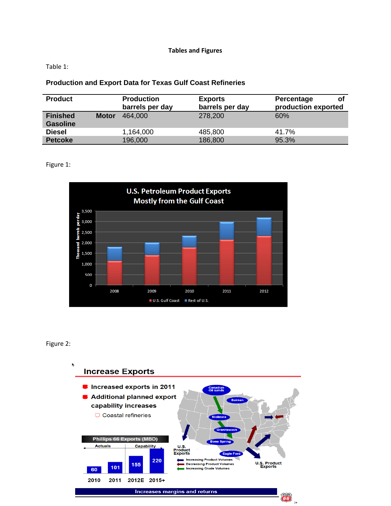#### **Tables and Figures**

Table 1:

### **Production and Export Data for Texas Gulf Coast Refineries**

| <b>Product</b>                     |              | <b>Production</b><br>barrels per day | <b>Exports</b><br>barrels per day | Percentage<br>Οl<br>production exported |
|------------------------------------|--------------|--------------------------------------|-----------------------------------|-----------------------------------------|
| <b>Finished</b><br><b>Gasoline</b> | <b>Motor</b> | 464,000                              | 278,200                           | 60%                                     |
| <b>Diesel</b>                      |              | 1,164,000                            | 485,800                           | 41.7%                                   |
| <b>Petcoke</b>                     |              | 196,000                              | 186,800                           | 95.3%                                   |

Figure 1:



#### Figure 2: